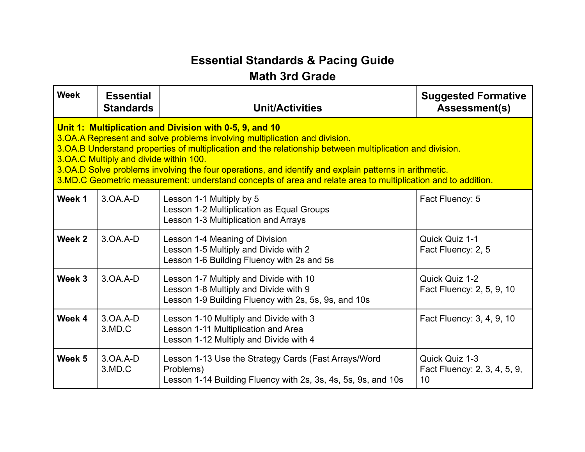## **Essential Standards & Pacing Guide**

## **Math 3rd Grade**

| <b>Week</b>                                                                                                                                                                                                                                                                                                                                                                                                                                                                                                                | <b>Essential</b><br><b>Standards</b> | <b>Unit/Activities</b>                                                                                                                  | <b>Suggested Formative</b><br><b>Assessment(s)</b>   |
|----------------------------------------------------------------------------------------------------------------------------------------------------------------------------------------------------------------------------------------------------------------------------------------------------------------------------------------------------------------------------------------------------------------------------------------------------------------------------------------------------------------------------|--------------------------------------|-----------------------------------------------------------------------------------------------------------------------------------------|------------------------------------------------------|
| Unit 1: Multiplication and Division with 0-5, 9, and 10<br>3. OA. A Represent and solve problems involving multiplication and division.<br>3. OA. B Understand properties of multiplication and the relationship between multiplication and division.<br>3. OA. C Multiply and divide within 100.<br>3.OA.D Solve problems involving the four operations, and identify and explain patterns in arithmetic.<br>3.MD.C Geometric measurement: understand concepts of area and relate area to multiplication and to addition. |                                      |                                                                                                                                         |                                                      |
| Week 1                                                                                                                                                                                                                                                                                                                                                                                                                                                                                                                     | $3.0A.A-D$                           | Lesson 1-1 Multiply by 5<br>Lesson 1-2 Multiplication as Equal Groups<br>Lesson 1-3 Multiplication and Arrays                           | Fact Fluency: 5                                      |
| Week 2                                                                                                                                                                                                                                                                                                                                                                                                                                                                                                                     | $3.0A.A-D$                           | Lesson 1-4 Meaning of Division<br>Lesson 1-5 Multiply and Divide with 2<br>Lesson 1-6 Building Fluency with 2s and 5s                   | Quick Quiz 1-1<br>Fact Fluency: 2, 5                 |
| Week 3                                                                                                                                                                                                                                                                                                                                                                                                                                                                                                                     | $3.0A.A-D$                           | Lesson 1-7 Multiply and Divide with 10<br>Lesson 1-8 Multiply and Divide with 9<br>Lesson 1-9 Building Fluency with 2s, 5s, 9s, and 10s | Quick Quiz 1-2<br>Fact Fluency: 2, 5, 9, 10          |
| Week 4                                                                                                                                                                                                                                                                                                                                                                                                                                                                                                                     | $3.0A.A-D$<br>3.MD.C                 | Lesson 1-10 Multiply and Divide with 3<br>Lesson 1-11 Multiplication and Area<br>Lesson 1-12 Multiply and Divide with 4                 | Fact Fluency: 3, 4, 9, 10                            |
| Week 5                                                                                                                                                                                                                                                                                                                                                                                                                                                                                                                     | $3.0A.A-D$<br>3.MD.C                 | Lesson 1-13 Use the Strategy Cards (Fast Arrays/Word<br>Problems)<br>Lesson 1-14 Building Fluency with 2s, 3s, 4s, 5s, 9s, and 10s      | Quick Quiz 1-3<br>Fact Fluency: 2, 3, 4, 5, 9,<br>10 |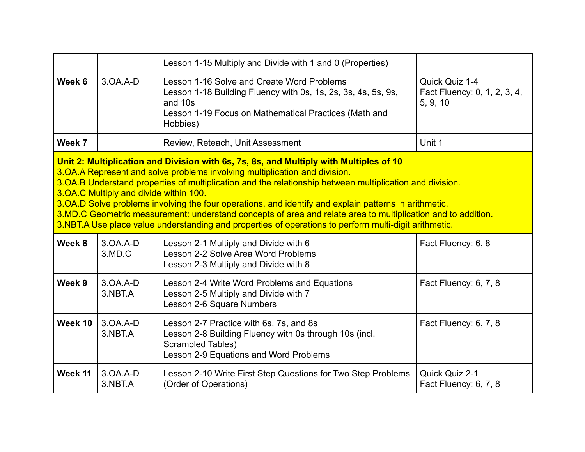|                                                                                                                                                                                                                                                                                                                                                                                                                                                                                                                                                                                                                                                                    |                       | Lesson 1-15 Multiply and Divide with 1 and 0 (Properties)                                                                                                                                   |                                                            |  |
|--------------------------------------------------------------------------------------------------------------------------------------------------------------------------------------------------------------------------------------------------------------------------------------------------------------------------------------------------------------------------------------------------------------------------------------------------------------------------------------------------------------------------------------------------------------------------------------------------------------------------------------------------------------------|-----------------------|---------------------------------------------------------------------------------------------------------------------------------------------------------------------------------------------|------------------------------------------------------------|--|
| Week 6                                                                                                                                                                                                                                                                                                                                                                                                                                                                                                                                                                                                                                                             | $3.0A.A-D$            | Lesson 1-16 Solve and Create Word Problems<br>Lesson 1-18 Building Fluency with 0s, 1s, 2s, 3s, 4s, 5s, 9s,<br>and 10s<br>Lesson 1-19 Focus on Mathematical Practices (Math and<br>Hobbies) | Quick Quiz 1-4<br>Fact Fluency: 0, 1, 2, 3, 4,<br>5, 9, 10 |  |
| Week 7                                                                                                                                                                                                                                                                                                                                                                                                                                                                                                                                                                                                                                                             |                       | Review, Reteach, Unit Assessment                                                                                                                                                            | Unit 1                                                     |  |
| Unit 2: Multiplication and Division with 6s, 7s, 8s, and Multiply with Multiples of 10<br>3. OA. A Represent and solve problems involving multiplication and division.<br>3.OA.B Understand properties of multiplication and the relationship between multiplication and division.<br>3. OA. C Multiply and divide within 100.<br>3. OA. D Solve problems involving the four operations, and identify and explain patterns in arithmetic.<br>3.MD.C Geometric measurement: understand concepts of area and relate area to multiplication and to addition.<br>3.NBT.A Use place value understanding and properties of operations to perform multi-digit arithmetic. |                       |                                                                                                                                                                                             |                                                            |  |
| Week 8                                                                                                                                                                                                                                                                                                                                                                                                                                                                                                                                                                                                                                                             | $3.0A.A-D$<br>3.MD.C  | Lesson 2-1 Multiply and Divide with 6<br>Lesson 2-2 Solve Area Word Problems<br>Lesson 2-3 Multiply and Divide with 8                                                                       | Fact Fluency: 6, 8                                         |  |
| Week 9                                                                                                                                                                                                                                                                                                                                                                                                                                                                                                                                                                                                                                                             | $3.0A.A-D$<br>3.NBT.A | Lesson 2-4 Write Word Problems and Equations<br>Lesson 2-5 Multiply and Divide with 7<br>Lesson 2-6 Square Numbers                                                                          | Fact Fluency: 6, 7, 8                                      |  |
| Week 10                                                                                                                                                                                                                                                                                                                                                                                                                                                                                                                                                                                                                                                            | $3.0A.A-D$<br>3.NBT.A | Lesson 2-7 Practice with 6s, 7s, and 8s<br>Lesson 2-8 Building Fluency with 0s through 10s (incl.<br>Scrambled Tables)<br>Lesson 2-9 Equations and Word Problems                            | Fact Fluency: 6, 7, 8                                      |  |
| Week 11                                                                                                                                                                                                                                                                                                                                                                                                                                                                                                                                                                                                                                                            | $3.0A.A-D$<br>3.NBT.A | Lesson 2-10 Write First Step Questions for Two Step Problems<br>(Order of Operations)                                                                                                       | Quick Quiz 2-1<br>Fact Fluency: 6, 7, 8                    |  |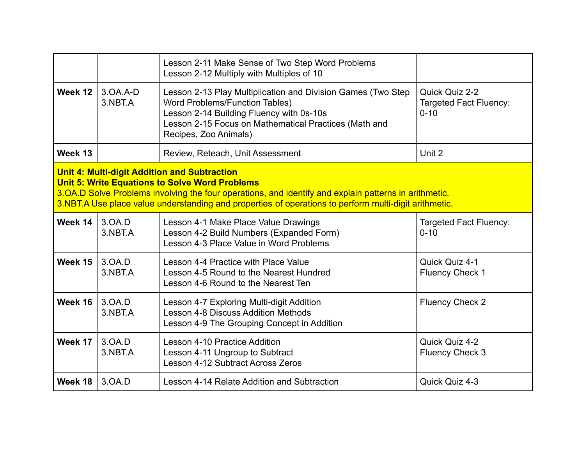|                                                                                                                                                                                                                                                                                                                                |                       | Lesson 2-11 Make Sense of Two Step Word Problems<br>Lesson 2-12 Multiply with Multiples of 10                                                                                                                                       |                                                             |  |
|--------------------------------------------------------------------------------------------------------------------------------------------------------------------------------------------------------------------------------------------------------------------------------------------------------------------------------|-----------------------|-------------------------------------------------------------------------------------------------------------------------------------------------------------------------------------------------------------------------------------|-------------------------------------------------------------|--|
| Week 12                                                                                                                                                                                                                                                                                                                        | $3.0A.A-D$<br>3.NBT.A | Lesson 2-13 Play Multiplication and Division Games (Two Step<br><b>Word Problems/Function Tables)</b><br>Lesson 2-14 Building Fluency with 0s-10s<br>Lesson 2-15 Focus on Mathematical Practices (Math and<br>Recipes, Zoo Animals) | Quick Quiz 2-2<br><b>Targeted Fact Fluency:</b><br>$0 - 10$ |  |
| Week 13                                                                                                                                                                                                                                                                                                                        |                       | Review, Reteach, Unit Assessment                                                                                                                                                                                                    | Unit 2                                                      |  |
| <b>Unit 4: Multi-digit Addition and Subtraction</b><br><b>Unit 5: Write Equations to Solve Word Problems</b><br>3.OA.D Solve Problems involving the four operations, and identify and explain patterns in arithmetic.<br>3.NBT.A Use place value understanding and properties of operations to perform multi-digit arithmetic. |                       |                                                                                                                                                                                                                                     |                                                             |  |
| Week 14                                                                                                                                                                                                                                                                                                                        | 3.0A.D<br>3.NBT.A     | Lesson 4-1 Make Place Value Drawings<br>Lesson 4-2 Build Numbers (Expanded Form)<br>Lesson 4-3 Place Value in Word Problems                                                                                                         | <b>Targeted Fact Fluency:</b><br>$0 - 10$                   |  |
| Week 15                                                                                                                                                                                                                                                                                                                        | 3.0A.D<br>3.NBT.A     | Lesson 4-4 Practice with Place Value<br>Lesson 4-5 Round to the Nearest Hundred<br>Lesson 4-6 Round to the Nearest Ten                                                                                                              | Quick Quiz 4-1<br><b>Fluency Check 1</b>                    |  |
| Week 16                                                                                                                                                                                                                                                                                                                        | 3.0A.D<br>3.NBT.A     | Lesson 4-7 Exploring Multi-digit Addition<br><b>Lesson 4-8 Discuss Addition Methods</b><br>Lesson 4-9 The Grouping Concept in Addition                                                                                              | <b>Fluency Check 2</b>                                      |  |
| Week 17                                                                                                                                                                                                                                                                                                                        | 3.0A.D<br>3.NBT.A     | Lesson 4-10 Practice Addition<br>Lesson 4-11 Ungroup to Subtract<br>Lesson 4-12 Subtract Across Zeros                                                                                                                               | Quick Quiz 4-2<br><b>Fluency Check 3</b>                    |  |
| Week 18                                                                                                                                                                                                                                                                                                                        | 3.0A.D                | Lesson 4-14 Relate Addition and Subtraction                                                                                                                                                                                         | Quick Quiz 4-3                                              |  |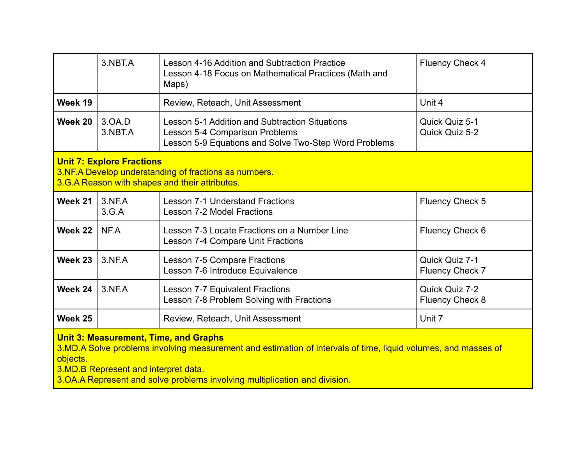|                                                                                                                                                                                                                                                                                                  | 3.NBT.A           | Lesson 4-16 Addition and Subtraction Practice<br>Lesson 4-18 Focus on Mathematical Practices (Math and<br>Maps)                                  | <b>Fluency Check 4</b>                   |  |
|--------------------------------------------------------------------------------------------------------------------------------------------------------------------------------------------------------------------------------------------------------------------------------------------------|-------------------|--------------------------------------------------------------------------------------------------------------------------------------------------|------------------------------------------|--|
| Week 19                                                                                                                                                                                                                                                                                          |                   | Review, Reteach, Unit Assessment                                                                                                                 | Unit 4                                   |  |
| Week 20                                                                                                                                                                                                                                                                                          | 3.0A.D<br>3.NBT.A | Lesson 5-1 Addition and Subtraction Situations<br><b>Lesson 5-4 Comparison Problems</b><br>Lesson 5-9 Equations and Solve Two-Step Word Problems | Quick Quiz 5-1<br>Quick Quiz 5-2         |  |
| <b>Unit 7: Explore Fractions</b><br>3.NF.A Develop understanding of fractions as numbers.<br>3.G.A Reason with shapes and their attributes.                                                                                                                                                      |                   |                                                                                                                                                  |                                          |  |
| Week 21                                                                                                                                                                                                                                                                                          | 3.NF.A<br>3.G.A   | <b>Lesson 7-1 Understand Fractions</b><br><b>Lesson 7-2 Model Fractions</b>                                                                      | <b>Fluency Check 5</b>                   |  |
| Week 22                                                                                                                                                                                                                                                                                          | NF.A              | Lesson 7-3 Locate Fractions on a Number Line<br>Lesson 7-4 Compare Unit Fractions                                                                | Fluency Check 6                          |  |
| Week 23                                                                                                                                                                                                                                                                                          | $3.$ NF.A         | Lesson 7-5 Compare Fractions<br>Lesson 7-6 Introduce Equivalence                                                                                 | Quick Quiz 7-1<br><b>Fluency Check 7</b> |  |
| Week 24                                                                                                                                                                                                                                                                                          | $3.$ NF.A         | Lesson 7-7 Equivalent Fractions<br>Lesson 7-8 Problem Solving with Fractions                                                                     | Quick Quiz 7-2<br><b>Fluency Check 8</b> |  |
| Week 25                                                                                                                                                                                                                                                                                          |                   | Review, Reteach, Unit Assessment                                                                                                                 | Unit 7                                   |  |
| <b>Unit 3: Measurement, Time, and Graphs</b><br>3.MD.A Solve problems involving measurement and estimation of intervals of time, liquid volumes, and masses of<br>objects.<br>3.MD.B Represent and interpret data.<br>2.00 A Depressort and solve problems involving multiplication and division |                   |                                                                                                                                                  |                                          |  |

3.OA.A Represent and solve problems involving multiplication and division.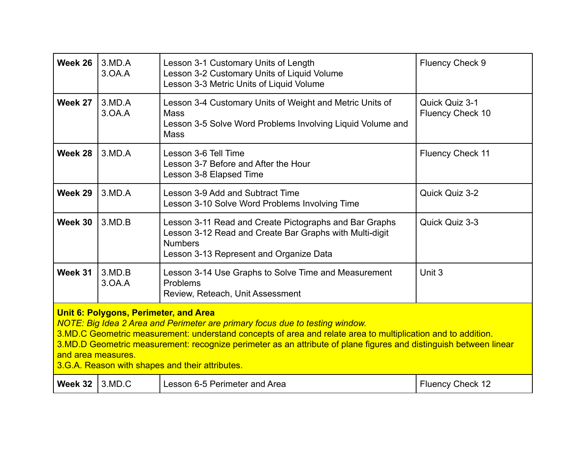| Week 26                                                                                                                                                                                                                                                                                                                                                                                                                             | 3.MD.A<br>3.0A.A | Lesson 3-1 Customary Units of Length<br>Lesson 3-2 Customary Units of Liquid Volume<br>Lesson 3-3 Metric Units of Liquid Volume                                                | <b>Fluency Check 9</b>                    |
|-------------------------------------------------------------------------------------------------------------------------------------------------------------------------------------------------------------------------------------------------------------------------------------------------------------------------------------------------------------------------------------------------------------------------------------|------------------|--------------------------------------------------------------------------------------------------------------------------------------------------------------------------------|-------------------------------------------|
| Week 27                                                                                                                                                                                                                                                                                                                                                                                                                             | 3.MD.A<br>3.0A.A | Lesson 3-4 Customary Units of Weight and Metric Units of<br><b>Mass</b><br>Lesson 3-5 Solve Word Problems Involving Liquid Volume and<br><b>Mass</b>                           | Quick Quiz 3-1<br><b>Fluency Check 10</b> |
| Week 28                                                                                                                                                                                                                                                                                                                                                                                                                             | 3.MD.A           | Lesson 3-6 Tell Time<br>Lesson 3-7 Before and After the Hour<br>Lesson 3-8 Elapsed Time                                                                                        | <b>Fluency Check 11</b>                   |
| Week 29                                                                                                                                                                                                                                                                                                                                                                                                                             | $3$ MD.A         | Lesson 3-9 Add and Subtract Time<br>Lesson 3-10 Solve Word Problems Involving Time                                                                                             | Quick Quiz 3-2                            |
| Week 30                                                                                                                                                                                                                                                                                                                                                                                                                             | 3.MD.B           | Lesson 3-11 Read and Create Pictographs and Bar Graphs<br>Lesson 3-12 Read and Create Bar Graphs with Multi-digit<br><b>Numbers</b><br>Lesson 3-13 Represent and Organize Data | Quick Quiz 3-3                            |
| Week 31                                                                                                                                                                                                                                                                                                                                                                                                                             | 3.MD.B<br>3.0A.A | Lesson 3-14 Use Graphs to Solve Time and Measurement<br>Problems<br>Review, Reteach, Unit Assessment                                                                           | Unit 3                                    |
| Unit 6: Polygons, Perimeter, and Area<br>NOTE: Big Idea 2 Area and Perimeter are primary focus due to testing window.<br>3.MD.C Geometric measurement: understand concepts of area and relate area to multiplication and to addition.<br>3.MD.D Geometric measurement: recognize perimeter as an attribute of plane figures and distinguish between linear<br>and area measures.<br>3.G.A. Reason with shapes and their attributes. |                  |                                                                                                                                                                                |                                           |
| Week 32                                                                                                                                                                                                                                                                                                                                                                                                                             | 3.MD.C           | Lesson 6-5 Perimeter and Area                                                                                                                                                  | <b>Fluency Check 12</b>                   |